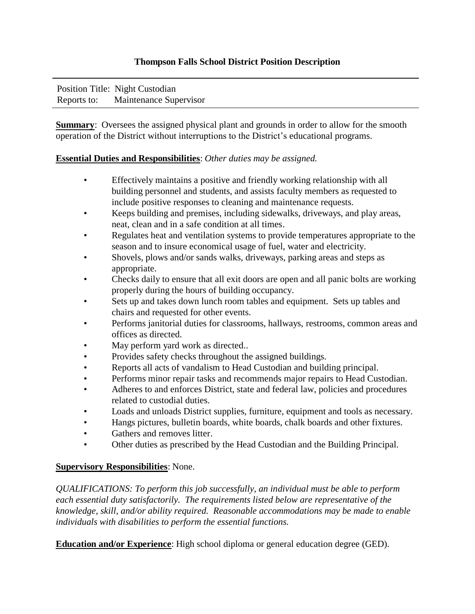## **Thompson Falls School District Position Description**

| Position Title: Night Custodian    |
|------------------------------------|
| Reports to: Maintenance Supervisor |

**Summary:** Oversees the assigned physical plant and grounds in order to allow for the smooth operation of the District without interruptions to the District's educational programs.

## **Essential Duties and Responsibilities**: *Other duties may be assigned.*

- Effectively maintains a positive and friendly working relationship with all building personnel and students, and assists faculty members as requested to include positive responses to cleaning and maintenance requests.
- Keeps building and premises, including sidewalks, driveways, and play areas, neat, clean and in a safe condition at all times.
- Regulates heat and ventilation systems to provide temperatures appropriate to the season and to insure economical usage of fuel, water and electricity.
- Shovels, plows and/or sands walks, driveways, parking areas and steps as appropriate.
- Checks daily to ensure that all exit doors are open and all panic bolts are working properly during the hours of building occupancy.
- Sets up and takes down lunch room tables and equipment. Sets up tables and chairs and requested for other events.
- Performs janitorial duties for classrooms, hallways, restrooms, common areas and offices as directed.
- May perform yard work as directed..
- Provides safety checks throughout the assigned buildings.
- Reports all acts of vandalism to Head Custodian and building principal.
- Performs minor repair tasks and recommends major repairs to Head Custodian.
- Adheres to and enforces District, state and federal law, policies and procedures related to custodial duties.
- Loads and unloads District supplies, furniture, equipment and tools as necessary.
- Hangs pictures, bulletin boards, white boards, chalk boards and other fixtures.
- Gathers and removes litter.
- Other duties as prescribed by the Head Custodian and the Building Principal.

## **Supervisory Responsibilities**: None.

*QUALIFICATIONS: To perform this job successfully, an individual must be able to perform each essential duty satisfactorily. The requirements listed below are representative of the knowledge, skill, and/or ability required. Reasonable accommodations may be made to enable individuals with disabilities to perform the essential functions.* 

**Education and/or Experience**: High school diploma or general education degree (GED).